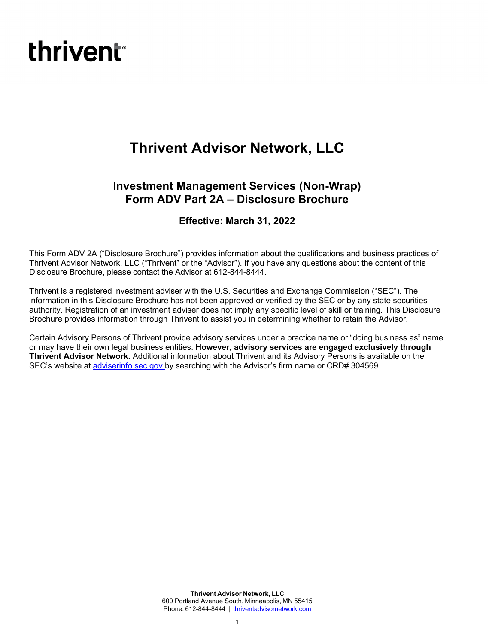# **thrivent**<sup>®</sup>

# **Thrivent Advisor Network, LLC**

# **Investment Management Services (Non-Wrap) Form ADV Part 2A – Disclosure Brochure**

# **Effective: March 31, 2022**

This Form ADV 2A ("Disclosure Brochure") provides information about the qualifications and business practices of Thrivent Advisor Network, LLC ("Thrivent" or the "Advisor"). If you have any questions about the content of this Disclosure Brochure, please contact the Advisor at 612-844-8444.

Thrivent is a registered investment adviser with the U.S. Securities and Exchange Commission ("SEC"). The information in this Disclosure Brochure has not been approved or verified by the SEC or by any state securities authority. Registration of an investment adviser does not imply any specific level of skill or training. This Disclosure Brochure provides information through Thrivent to assist you in determining whether to retain the Advisor.

Certain Advisory Persons of Thrivent provide advisory services under a practice name or "doing business as" name or may have their own legal business entities. **However, advisory services are engaged exclusively through Thrivent Advisor Network.** Additional information about Thrivent and its Advisory Persons is available on the SEC's website at adviserinfo.sec.gov by searching with the Advisor's firm name or CRD# 304569.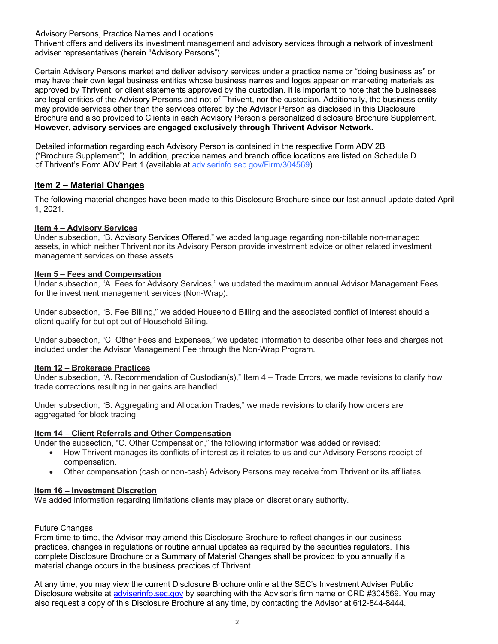Advisory Persons, Practice Names and Locations

Thrivent offers and delivers its investment management and advisory services through a network of investment adviser representatives (herein "Advisory Persons").

Certain Advisory Persons market and deliver advisory services under a practice name or "doing business as" or may have their own legal business entities whose business names and logos appear on marketing materials as approved by Thrivent, or client statements approved by the custodian. It is important to note that the businesses are legal entities of the Advisory Persons and not of Thrivent, nor the custodian. Additionally, the business entity may provide services other than the services offered by the Advisor Person as disclosed in this Disclosure Brochure and also provided to Clients in each Advisory Person's personalized disclosure Brochure Supplement. **However, advisory services are engaged exclusively through Thrivent Advisor Network.**

Detailed information regarding each Advisory Person is contained in the respective Form ADV 2B ("Brochure Supplement"). In addition, practice names and branch office locations are listed on Schedule D of Thrivent's Form ADV Part 1 (available at adviserinfo.sec.gov/Firm/304569).

# **Item 2 – Material Changes**

The following material changes have been made to this Disclosure Brochure since our last annual update dated April 1, 2021.

#### **Item 4 – Advisory Services**

Under subsection, "B. Advisory Services Offered," we added language regarding non-billable non-managed assets, in which neither Thrivent nor its Advisory Person provide investment advice or other related investment management services on these assets.

#### **Item 5 – Fees and Compensation**

Under subsection, "A. Fees for Advisory Services," we updated the maximum annual Advisor Management Fees for the investment management services (Non-Wrap).

Under subsection, "B. Fee Billing," we added Household Billing and the associated conflict of interest should a client qualify for but opt out of Household Billing.

Under subsection, "C. Other Fees and Expenses," we updated information to describe other fees and charges not included under the Advisor Management Fee through the Non-Wrap Program.

#### **Item 12 – Brokerage Practices**

Under subsection, "A. Recommendation of Custodian(s)," Item 4 – Trade Errors, we made revisions to clarify how trade corrections resulting in net gains are handled.

Under subsection, "B. Aggregating and Allocation Trades," we made revisions to clarify how orders are aggregated for block trading.

# **Item 14 – Client Referrals and Other Compensation**

Under the subsection, "C. Other Compensation," the following information was added or revised:

- How Thrivent manages its conflicts of interest as it relates to us and our Advisory Persons receipt of compensation.
- Other compensation (cash or non-cash) Advisory Persons may receive from Thrivent or its affiliates.

# **Item 16 – Investment Discretion**

We added information regarding limitations clients may place on discretionary authority.

# Future Changes

From time to time, the Advisor may amend this Disclosure Brochure to reflect changes in our business practices, changes in regulations or routine annual updates as required by the securities regulators. This complete Disclosure Brochure or a Summary of Material Changes shall be provided to you annually if a material change occurs in the business practices of Thrivent.

At any time, you may view the current Disclosure Brochure online at the SEC's Investment Adviser Public Disclosure website at adviserinfo.sec.gov by searching with the Advisor's firm name or CRD #304569. You may also request a copy of this Disclosure Brochure at any time, by contacting the Advisor at 612-844-8444.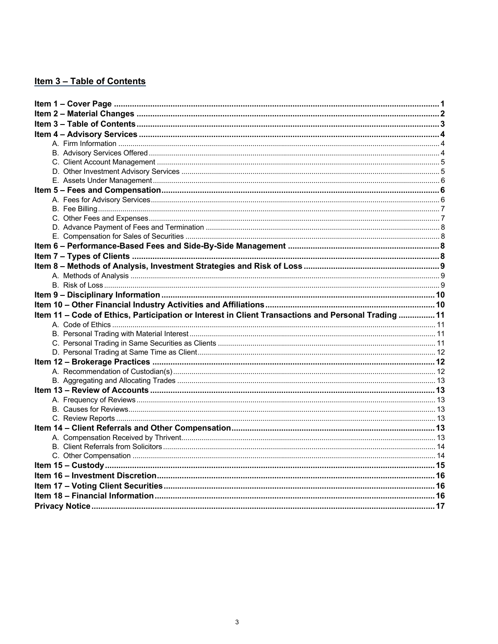# Item 3 - Table of Contents

| Item 11 - Code of Ethics, Participation or Interest in Client Transactions and Personal Trading  11 |  |
|-----------------------------------------------------------------------------------------------------|--|
|                                                                                                     |  |
|                                                                                                     |  |
|                                                                                                     |  |
|                                                                                                     |  |
|                                                                                                     |  |
|                                                                                                     |  |
|                                                                                                     |  |
|                                                                                                     |  |
|                                                                                                     |  |
|                                                                                                     |  |
|                                                                                                     |  |
|                                                                                                     |  |
|                                                                                                     |  |
|                                                                                                     |  |
|                                                                                                     |  |
|                                                                                                     |  |
|                                                                                                     |  |
|                                                                                                     |  |
|                                                                                                     |  |
|                                                                                                     |  |
|                                                                                                     |  |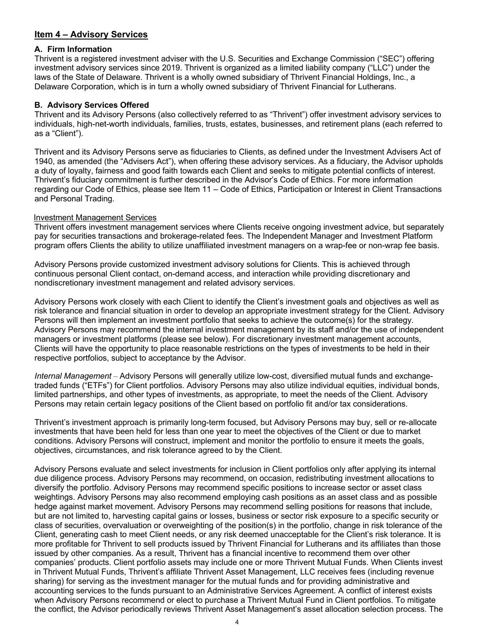# **Item 4 – Advisory Services**

#### **A. Firm Information**

Thrivent is a registered investment adviser with the U.S. Securities and Exchange Commission ("SEC") offering investment advisory services since 2019. Thrivent is organized as a limited liability company ("LLC") under the laws of the State of Delaware. Thrivent is a wholly owned subsidiary of Thrivent Financial Holdings, Inc., a Delaware Corporation, which is in turn a wholly owned subsidiary of Thrivent Financial for Lutherans.

#### **B. Advisory Services Offered**

Thrivent and its Advisory Persons (also collectively referred to as "Thrivent") offer investment advisory services to individuals, high-net-worth individuals, families, trusts, estates, businesses, and retirement plans (each referred to as a "Client").

Thrivent and its Advisory Persons serve as fiduciaries to Clients, as defined under the Investment Advisers Act of 1940, as amended (the "Advisers Act"), when offering these advisory services. As a fiduciary, the Advisor upholds a duty of loyalty, fairness and good faith towards each Client and seeks to mitigate potential conflicts of interest. Thrivent's fiduciary commitment is further described in the Advisor's Code of Ethics. For more information regarding our Code of Ethics, please see Item 11 – Code of Ethics, Participation or Interest in Client Transactions and Personal Trading.

#### Investment Management Services

Thrivent offers investment management services where Clients receive ongoing investment advice, but separately pay for securities transactions and brokerage-related fees. The Independent Manager and Investment Platform program offers Clients the ability to utilize unaffiliated investment managers on a wrap-fee or non-wrap fee basis.

Advisory Persons provide customized investment advisory solutions for Clients. This is achieved through continuous personal Client contact, on-demand access, and interaction while providing discretionary and nondiscretionary investment management and related advisory services.

Advisory Persons work closely with each Client to identify the Client's investment goals and objectives as well as risk tolerance and financial situation in order to develop an appropriate investment strategy for the Client. Advisory Persons will then implement an investment portfolio that seeks to achieve the outcome(s) for the strategy. Advisory Persons may recommend the internal investment management by its staff and/or the use of independent managers or investment platforms (please see below). For discretionary investment management accounts, Clients will have the opportunity to place reasonable restrictions on the types of investments to be held in their respective portfolios, subject to acceptance by the Advisor.

*Internal Management* – Advisory Persons will generally utilize low-cost, diversified mutual funds and exchangetraded funds ("ETFs") for Client portfolios. Advisory Persons may also utilize individual equities, individual bonds, limited partnerships, and other types of investments, as appropriate, to meet the needs of the Client. Advisory Persons may retain certain legacy positions of the Client based on portfolio fit and/or tax considerations.

Thrivent's investment approach is primarily long-term focused, but Advisory Persons may buy, sell or re-allocate investments that have been held for less than one year to meet the objectives of the Client or due to market conditions. Advisory Persons will construct, implement and monitor the portfolio to ensure it meets the goals, objectives, circumstances, and risk tolerance agreed to by the Client.

Advisory Persons evaluate and select investments for inclusion in Client portfolios only after applying its internal due diligence process. Advisory Persons may recommend, on occasion, redistributing investment allocations to diversify the portfolio. Advisory Persons may recommend specific positions to increase sector or asset class weightings. Advisory Persons may also recommend employing cash positions as an asset class and as possible hedge against market movement. Advisory Persons may recommend selling positions for reasons that include, but are not limited to, harvesting capital gains or losses, business or sector risk exposure to a specific security or class of securities, overvaluation or overweighting of the position(s) in the portfolio, change in risk tolerance of the Client, generating cash to meet Client needs, or any risk deemed unacceptable for the Client's risk tolerance. It is more profitable for Thrivent to sell products issued by Thrivent Financial for Lutherans and its affiliates than those issued by other companies. As a result, Thrivent has a financial incentive to recommend them over other companies' products. Client portfolio assets may include one or more Thrivent Mutual Funds. When Clients invest in Thrivent Mutual Funds, Thrivent's affiliate Thrivent Asset Management, LLC receives fees (including revenue sharing) for serving as the investment manager for the mutual funds and for providing administrative and accounting services to the funds pursuant to an Administrative Services Agreement. A conflict of interest exists when Advisory Persons recommend or elect to purchase a Thrivent Mutual Fund in Client portfolios. To mitigate the conflict, the Advisor periodically reviews Thrivent Asset Management's asset allocation selection process. The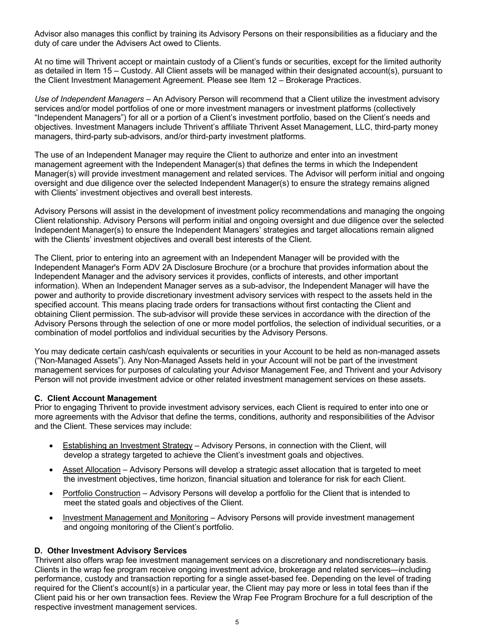Advisor also manages this conflict by training its Advisory Persons on their responsibilities as a fiduciary and the duty of care under the Advisers Act owed to Clients.

At no time will Thrivent accept or maintain custody of a Client's funds or securities, except for the limited authority as detailed in Item 15 – Custody. All Client assets will be managed within their designated account(s), pursuant to the Client Investment Management Agreement. Please see Item 12 – Brokerage Practices.

*Use of Independent Managers* – An Advisory Person will recommend that a Client utilize the investment advisory services and/or model portfolios of one or more investment managers or investment platforms (collectively "Independent Managers") for all or a portion of a Client's investment portfolio, based on the Client's needs and objectives. Investment Managers include Thrivent's affiliate Thrivent Asset Management, LLC, third-party money managers, third-party sub-advisors, and/or third-party investment platforms.

The use of an Independent Manager may require the Client to authorize and enter into an investment management agreement with the Independent Manager(s) that defines the terms in which the Independent Manager(s) will provide investment management and related services. The Advisor will perform initial and ongoing oversight and due diligence over the selected Independent Manager(s) to ensure the strategy remains aligned with Clients' investment objectives and overall best interests.

Advisory Persons will assist in the development of investment policy recommendations and managing the ongoing Client relationship. Advisory Persons will perform initial and ongoing oversight and due diligence over the selected Independent Manager(s) to ensure the Independent Managers' strategies and target allocations remain aligned with the Clients' investment objectives and overall best interests of the Client.

The Client, prior to entering into an agreement with an Independent Manager will be provided with the Independent Manager's Form ADV 2A Disclosure Brochure (or a brochure that provides information about the Independent Manager and the advisory services it provides, conflicts of interests, and other important information). When an Independent Manager serves as a sub-advisor, the Independent Manager will have the power and authority to provide discretionary investment advisory services with respect to the assets held in the specified account. This means placing trade orders for transactions without first contacting the Client and obtaining Client permission. The sub-advisor will provide these services in accordance with the direction of the Advisory Persons through the selection of one or more model portfolios, the selection of individual securities, or a combination of model portfolios and individual securities by the Advisory Persons.

You may dedicate certain cash/cash equivalents or securities in your Account to be held as non-managed assets ("Non-Managed Assets"). Any Non-Managed Assets held in your Account will not be part of the investment management services for purposes of calculating your Advisor Management Fee, and Thrivent and your Advisory Person will not provide investment advice or other related investment management services on these assets.

#### **C. Client Account Management**

Prior to engaging Thrivent to provide investment advisory services, each Client is required to enter into one or more agreements with the Advisor that define the terms, conditions, authority and responsibilities of the Advisor and the Client. These services may include:

- Establishing an Investment Strategy Advisory Persons, in connection with the Client, will develop a strategy targeted to achieve the Client's investment goals and objectives.
- Asset Allocation Advisory Persons will develop a strategic asset allocation that is targeted to meet the investment objectives, time horizon, financial situation and tolerance for risk for each Client.
- Portfolio Construction Advisory Persons will develop a portfolio for the Client that is intended to meet the stated goals and objectives of the Client.
- Investment Management and Monitoring Advisory Persons will provide investment management and ongoing monitoring of the Client's portfolio.

#### **D. Other Investment Advisory Services**

Thrivent also offers wrap fee investment management services on a discretionary and nondiscretionary basis. Clients in the wrap fee program receive ongoing investment advice, brokerage and related services—including performance, custody and transaction reporting for a single asset-based fee. Depending on the level of trading required for the Client's account(s) in a particular year, the Client may pay more or less in total fees than if the Client paid his or her own transaction fees. Review the Wrap Fee Program Brochure for a full description of the respective investment management services.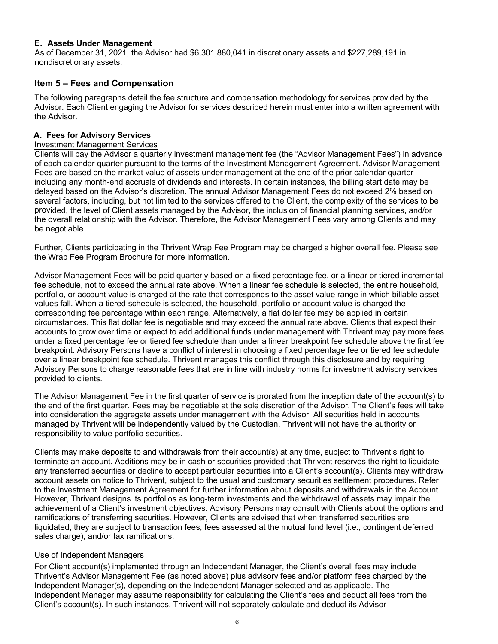#### **E. Assets Under Management**

As of December 31, 2021, the Advisor had \$6,301,880,041 in discretionary assets and \$227,289,191 in nondiscretionary assets.

# **Item 5 – Fees and Compensation**

The following paragraphs detail the fee structure and compensation methodology for services provided by the Advisor. Each Client engaging the Advisor for services described herein must enter into a written agreement with the Advisor.

# **A. Fees for Advisory Services**

# Investment Management Services

Clients will pay the Advisor a quarterly investment management fee (the "Advisor Management Fees") in advance of each calendar quarter pursuant to the terms of the Investment Management Agreement. Advisor Management Fees are based on the market value of assets under management at the end of the prior calendar quarter including any month-end accruals of dividends and interests. In certain instances, the billing start date may be delayed based on the Advisor's discretion. The annual Advisor Management Fees do not exceed 2% based on several factors, including, but not limited to the services offered to the Client, the complexity of the services to be provided, the level of Client assets managed by the Advisor, the inclusion of financial planning services, and/or the overall relationship with the Advisor. Therefore, the Advisor Management Fees vary among Clients and may be negotiable.

Further, Clients participating in the Thrivent Wrap Fee Program may be charged a higher overall fee. Please see the Wrap Fee Program Brochure for more information.

Advisor Management Fees will be paid quarterly based on a fixed percentage fee, or a linear or tiered incremental fee schedule, not to exceed the annual rate above. When a linear fee schedule is selected, the entire household, portfolio, or account value is charged at the rate that corresponds to the asset value range in which billable asset values fall. When a tiered schedule is selected, the household, portfolio or account value is charged the corresponding fee percentage within each range. Alternatively, a flat dollar fee may be applied in certain circumstances. This flat dollar fee is negotiable and may exceed the annual rate above. Clients that expect their accounts to grow over time or expect to add additional funds under management with Thrivent may pay more fees under a fixed percentage fee or tiered fee schedule than under a linear breakpoint fee schedule above the first fee breakpoint. Advisory Persons have a conflict of interest in choosing a fixed percentage fee or tiered fee schedule over a linear breakpoint fee schedule. Thrivent manages this conflict through this disclosure and by requiring Advisory Persons to charge reasonable fees that are in line with industry norms for investment advisory services provided to clients.

The Advisor Management Fee in the first quarter of service is prorated from the inception date of the account(s) to the end of the first quarter. Fees may be negotiable at the sole discretion of the Advisor. The Client's fees will take into consideration the aggregate assets under management with the Advisor. All securities held in accounts managed by Thrivent will be independently valued by the Custodian. Thrivent will not have the authority or responsibility to value portfolio securities.

Clients may make deposits to and withdrawals from their account(s) at any time, subject to Thrivent's right to terminate an account. Additions may be in cash or securities provided that Thrivent reserves the right to liquidate any transferred securities or decline to accept particular securities into a Client's account(s). Clients may withdraw account assets on notice to Thrivent, subject to the usual and customary securities settlement procedures. Refer to the Investment Management Agreement for further information about deposits and withdrawals in the Account. However, Thrivent designs its portfolios as long-term investments and the withdrawal of assets may impair the achievement of a Client's investment objectives. Advisory Persons may consult with Clients about the options and ramifications of transferring securities. However, Clients are advised that when transferred securities are liquidated, they are subject to transaction fees, fees assessed at the mutual fund level (i.e., contingent deferred sales charge), and/or tax ramifications.

# Use of Independent Managers

For Client account(s) implemented through an Independent Manager, the Client's overall fees may include Thrivent's Advisor Management Fee (as noted above) plus advisory fees and/or platform fees charged by the Independent Manager(s), depending on the Independent Manager selected and as applicable. The Independent Manager may assume responsibility for calculating the Client's fees and deduct all fees from the Client's account(s). In such instances, Thrivent will not separately calculate and deduct its Advisor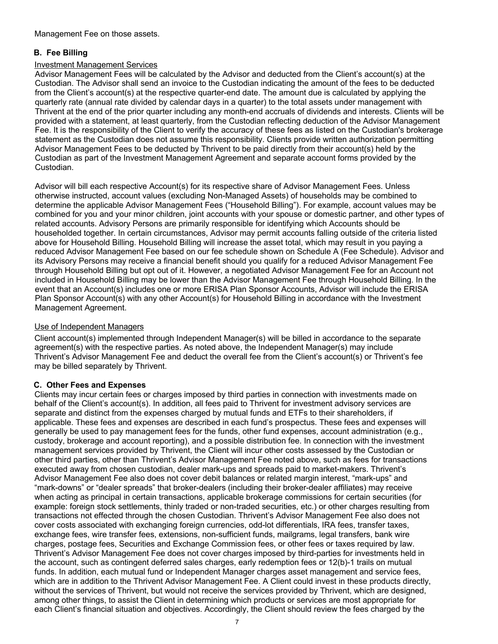# **B. Fee Billing**

# Investment Management Services

Advisor Management Fees will be calculated by the Advisor and deducted from the Client's account(s) at the Custodian. The Advisor shall send an invoice to the Custodian indicating the amount of the fees to be deducted from the Client's account(s) at the respective quarter-end date. The amount due is calculated by applying the quarterly rate (annual rate divided by calendar days in a quarter) to the total assets under management with Thrivent at the end of the prior quarter including any month-end accruals of dividends and interests. Clients will be provided with a statement, at least quarterly, from the Custodian reflecting deduction of the Advisor Management Fee. It is the responsibility of the Client to verify the accuracy of these fees as listed on the Custodian's brokerage statement as the Custodian does not assume this responsibility. Clients provide written authorization permitting Advisor Management Fees to be deducted by Thrivent to be paid directly from their account(s) held by the Custodian as part of the Investment Management Agreement and separate account forms provided by the Custodian.

Advisor will bill each respective Account(s) for its respective share of Advisor Management Fees. Unless otherwise instructed, account values (excluding Non-Managed Assets) of households may be combined to determine the applicable Advisor Management Fees ("Household Billing"). For example, account values may be combined for you and your minor children, joint accounts with your spouse or domestic partner, and other types of related accounts. Advisory Persons are primarily responsible for identifying which Accounts should be householded together. In certain circumstances, Advisor may permit accounts falling outside of the criteria listed above for Household Billing. Household Billing will increase the asset total, which may result in you paying a reduced Advisor Management Fee based on our fee schedule shown on Schedule A (Fee Schedule). Advisor and its Advisory Persons may receive a financial benefit should you qualify for a reduced Advisor Management Fee through Household Billing but opt out of it. However, a negotiated Advisor Management Fee for an Account not included in Household Billing may be lower than the Advisor Management Fee through Household Billing. In the event that an Account(s) includes one or more ERISA Plan Sponsor Accounts, Advisor will include the ERISA Plan Sponsor Account(s) with any other Account(s) for Household Billing in accordance with the Investment Management Agreement.

# Use of Independent Managers

Client account(s) implemented through Independent Manager(s) will be billed in accordance to the separate agreement(s) with the respective parties. As noted above, the Independent Manager(s) may include Thrivent's Advisor Management Fee and deduct the overall fee from the Client's account(s) or Thrivent's fee may be billed separately by Thrivent.

# **C. Other Fees and Expenses**

Clients may incur certain fees or charges imposed by third parties in connection with investments made on behalf of the Client's account(s). In addition, all fees paid to Thrivent for investment advisory services are separate and distinct from the expenses charged by mutual funds and ETFs to their shareholders, if applicable. These fees and expenses are described in each fund's prospectus. These fees and expenses will generally be used to pay management fees for the funds, other fund expenses, account administration (e.g., custody, brokerage and account reporting), and a possible distribution fee. In connection with the investment management services provided by Thrivent, the Client will incur other costs assessed by the Custodian or other third parties, other than Thrivent's Advisor Management Fee noted above, such as fees for transactions executed away from chosen custodian, dealer mark-ups and spreads paid to market-makers. Thrivent's Advisor Management Fee also does not cover debit balances or related margin interest, "mark-ups" and "mark-downs" or "dealer spreads" that broker-dealers (including their broker-dealer affiliates) may receive when acting as principal in certain transactions, applicable brokerage commissions for certain securities (for example: foreign stock settlements, thinly traded or non-traded securities, etc.) or other charges resulting from transactions not effected through the chosen Custodian. Thrivent's Advisor Management Fee also does not cover costs associated with exchanging foreign currencies, odd-lot differentials, IRA fees, transfer taxes, exchange fees, wire transfer fees, extensions, non-sufficient funds, mailgrams, legal transfers, bank wire charges, postage fees, Securities and Exchange Commission fees, or other fees or taxes required by law. Thrivent's Advisor Management Fee does not cover charges imposed by third-parties for investments held in the account, such as contingent deferred sales charges, early redemption fees or 12(b)-1 trails on mutual funds. In addition, each mutual fund or Independent Manager charges asset management and service fees, which are in addition to the Thrivent Advisor Management Fee. A Client could invest in these products directly, without the services of Thrivent, but would not receive the services provided by Thrivent, which are designed, among other things, to assist the Client in determining which products or services are most appropriate for each Client's financial situation and objectives. Accordingly, the Client should review the fees charged by the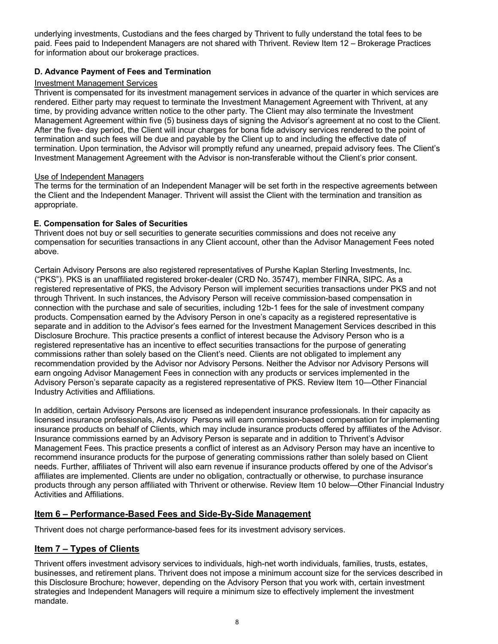underlying investments, Custodians and the fees charged by Thrivent to fully understand the total fees to be paid. Fees paid to Independent Managers are not shared with Thrivent. Review Item 12 – Brokerage Practices for information about our brokerage practices.

# **D. Advance Payment of Fees and Termination**

# Investment Management Services

Thrivent is compensated for its investment management services in advance of the quarter in which services are rendered. Either party may request to terminate the Investment Management Agreement with Thrivent, at any time, by providing advance written notice to the other party. The Client may also terminate the Investment Management Agreement within five (5) business days of signing the Advisor's agreement at no cost to the Client. After the five- day period, the Client will incur charges for bona fide advisory services rendered to the point of termination and such fees will be due and payable by the Client up to and including the effective date of termination. Upon termination, the Advisor will promptly refund any unearned, prepaid advisory fees. The Client's Investment Management Agreement with the Advisor is non-transferable without the Client's prior consent.

# Use of Independent Managers

The terms for the termination of an Independent Manager will be set forth in the respective agreements between the Client and the Independent Manager. Thrivent will assist the Client with the termination and transition as appropriate.

# **E. Compensation for Sales of Securities**

Thrivent does not buy or sell securities to generate securities commissions and does not receive any compensation for securities transactions in any Client account, other than the Advisor Management Fees noted above.

Certain Advisory Persons are also registered representatives of Purshe Kaplan Sterling Investments, Inc. ("PKS"). PKS is an unaffiliated registered broker-dealer (CRD No. 35747), member FINRA, SIPC. As a registered representative of PKS, the Advisory Person will implement securities transactions under PKS and not through Thrivent. In such instances, the Advisory Person will receive commission-based compensation in connection with the purchase and sale of securities, including 12b-1 fees for the sale of investment company products. Compensation earned by the Advisory Person in one's capacity as a registered representative is separate and in addition to the Advisor's fees earned for the Investment Management Services described in this Disclosure Brochure. This practice presents a conflict of interest because the Advisory Person who is a registered representative has an incentive to effect securities transactions for the purpose of generating commissions rather than solely based on the Client's need. Clients are not obligated to implement any recommendation provided by the Advisor nor Advisory Persons. Neither the Advisor nor Advisory Persons will earn ongoing Advisor Management Fees in connection with any products or services implemented in the Advisory Person's separate capacity as a registered representative of PKS. Review Item 10—Other Financial Industry Activities and Affiliations.

In addition, certain Advisory Persons are licensed as independent insurance professionals. In their capacity as licensed insurance professionals, Advisory Persons will earn commission-based compensation for implementing insurance products on behalf of Clients, which may include insurance products offered by affiliates of the Advisor. Insurance commissions earned by an Advisory Person is separate and in addition to Thrivent's Advisor Management Fees. This practice presents a conflict of interest as an Advisory Person may have an incentive to recommend insurance products for the purpose of generating commissions rather than solely based on Client needs. Further, affiliates of Thrivent will also earn revenue if insurance products offered by one of the Advisor's affiliates are implemented. Clients are under no obligation, contractually or otherwise, to purchase insurance products through any person affiliated with Thrivent or otherwise. Review Item 10 below—Other Financial Industry Activities and Affiliations.

# **Item 6 – Performance-Based Fees and Side-By-Side Management**

Thrivent does not charge performance-based fees for its investment advisory services.

# **Item 7 – Types of Clients**

Thrivent offers investment advisory services to individuals, high-net worth individuals, families, trusts, estates, businesses, and retirement plans. Thrivent does not impose a minimum account size for the services described in this Disclosure Brochure; however, depending on the Advisory Person that you work with, certain investment strategies and Independent Managers will require a minimum size to effectively implement the investment mandate.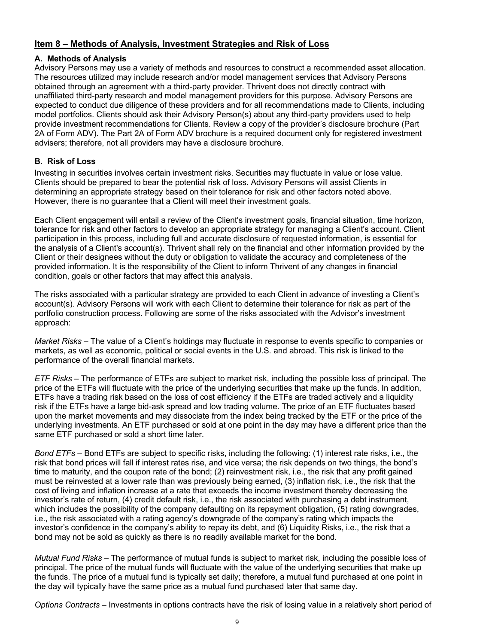# **Item 8 – Methods of Analysis, Investment Strategies and Risk of Loss**

# **A. Methods of Analysis**

Advisory Persons may use a variety of methods and resources to construct a recommended asset allocation. The resources utilized may include research and/or model management services that Advisory Persons obtained through an agreement with a third-party provider. Thrivent does not directly contract with unaffiliated third-party research and model management providers for this purpose. Advisory Persons are expected to conduct due diligence of these providers and for all recommendations made to Clients, including model portfolios. Clients should ask their Advisory Person(s) about any third-party providers used to help provide investment recommendations for Clients. Review a copy of the provider's disclosure brochure (Part 2A of Form ADV). The Part 2A of Form ADV brochure is a required document only for registered investment advisers; therefore, not all providers may have a disclosure brochure.

# **B. Risk of Loss**

Investing in securities involves certain investment risks. Securities may fluctuate in value or lose value. Clients should be prepared to bear the potential risk of loss. Advisory Persons will assist Clients in determining an appropriate strategy based on their tolerance for risk and other factors noted above. However, there is no guarantee that a Client will meet their investment goals.

Each Client engagement will entail a review of the Client's investment goals, financial situation, time horizon, tolerance for risk and other factors to develop an appropriate strategy for managing a Client's account. Client participation in this process, including full and accurate disclosure of requested information, is essential for the analysis of a Client's account(s). Thrivent shall rely on the financial and other information provided by the Client or their designees without the duty or obligation to validate the accuracy and completeness of the provided information. It is the responsibility of the Client to inform Thrivent of any changes in financial condition, goals or other factors that may affect this analysis.

The risks associated with a particular strategy are provided to each Client in advance of investing a Client's account(s). Advisory Persons will work with each Client to determine their tolerance for risk as part of the portfolio construction process. Following are some of the risks associated with the Advisor's investment approach:

*Market Risks* – The value of a Client's holdings may fluctuate in response to events specific to companies or markets, as well as economic, political or social events in the U.S. and abroad. This risk is linked to the performance of the overall financial markets.

*ETF Risks* – The performance of ETFs are subject to market risk, including the possible loss of principal. The price of the ETFs will fluctuate with the price of the underlying securities that make up the funds. In addition, ETFs have a trading risk based on the loss of cost efficiency if the ETFs are traded actively and a liquidity risk if the ETFs have a large bid-ask spread and low trading volume. The price of an ETF fluctuates based upon the market movements and may dissociate from the index being tracked by the ETF or the price of the underlying investments. An ETF purchased or sold at one point in the day may have a different price than the same ETF purchased or sold a short time later.

*Bond ETFs* – Bond ETFs are subject to specific risks, including the following: (1) interest rate risks, i.e., the risk that bond prices will fall if interest rates rise, and vice versa; the risk depends on two things, the bond's time to maturity, and the coupon rate of the bond; (2) reinvestment risk, i.e., the risk that any profit gained must be reinvested at a lower rate than was previously being earned, (3) inflation risk, i.e., the risk that the cost of living and inflation increase at a rate that exceeds the income investment thereby decreasing the investor's rate of return, (4) credit default risk, i.e., the risk associated with purchasing a debt instrument, which includes the possibility of the company defaulting on its repayment obligation, (5) rating downgrades, i.e., the risk associated with a rating agency's downgrade of the company's rating which impacts the investor's confidence in the company's ability to repay its debt, and (6) Liquidity Risks, i.e., the risk that a bond may not be sold as quickly as there is no readily available market for the bond.

*Mutual Fund Risks* – The performance of mutual funds is subject to market risk, including the possible loss of principal. The price of the mutual funds will fluctuate with the value of the underlying securities that make up the funds. The price of a mutual fund is typically set daily; therefore, a mutual fund purchased at one point in the day will typically have the same price as a mutual fund purchased later that same day.

*Options Contracts* – Investments in options contracts have the risk of losing value in a relatively short period of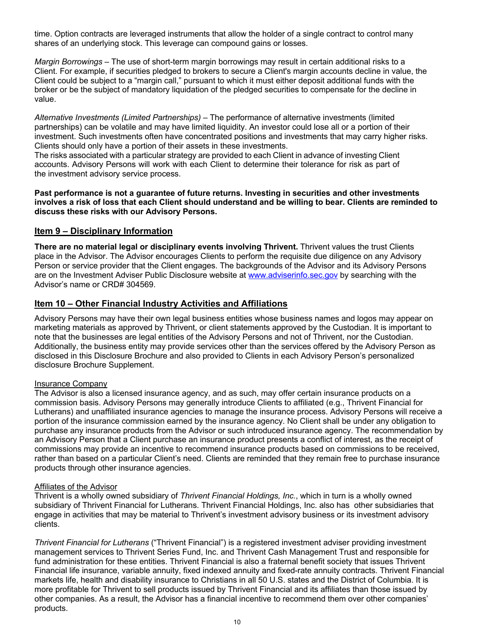time. Option contracts are leveraged instruments that allow the holder of a single contract to control many shares of an underlying stock. This leverage can compound gains or losses.

*Margin Borrowings* – The use of short-term margin borrowings may result in certain additional risks to a Client. For example, if securities pledged to brokers to secure a Client's margin accounts decline in value, the Client could be subject to a "margin call," pursuant to which it must either deposit additional funds with the broker or be the subject of mandatory liquidation of the pledged securities to compensate for the decline in value.

*Alternative Investments (Limited Partnerships)* – The performance of alternative investments (limited partnerships) can be volatile and may have limited liquidity. An investor could lose all or a portion of their investment. Such investments often have concentrated positions and investments that may carry higher risks. Clients should only have a portion of their assets in these investments.

The risks associated with a particular strategy are provided to each Client in advance of investing Client accounts. Advisory Persons will work with each Client to determine their tolerance for risk as part of the investment advisory service process.

**Past performance is not a guarantee of future returns. Investing in securities and other investments involves a risk of loss that each Client should understand and be willing to bear. Clients are reminded to discuss these risks with our Advisory Persons.**

# **Item 9 – Disciplinary Information**

**There are no material legal or disciplinary events involving Thrivent.** Thrivent values the trust Clients place in the Advisor. The Advisor encourages Clients to perform the requisite due diligence on any Advisory Person or service provider that the Client engages. The backgrounds of the Advisor and its Advisory Persons are on the Investment Adviser Public Disclosure website at www.adviserinfo.sec.gov by searching with the Advisor's name or CRD# 304569.

# **Item 10 – Other Financial Industry Activities and Affiliations**

Advisory Persons may have their own legal business entities whose business names and logos may appear on marketing materials as approved by Thrivent, or client statements approved by the Custodian. It is important to note that the businesses are legal entities of the Advisory Persons and not of Thrivent, nor the Custodian. Additionally, the business entity may provide services other than the services offered by the Advisory Person as disclosed in this Disclosure Brochure and also provided to Clients in each Advisory Person's personalized disclosure Brochure Supplement.

#### Insurance Company

The Advisor is also a licensed insurance agency, and as such, may offer certain insurance products on a commission basis. Advisory Persons may generally introduce Clients to affiliated (e.g., Thrivent Financial for Lutherans) and unaffiliated insurance agencies to manage the insurance process. Advisory Persons will receive a portion of the insurance commission earned by the insurance agency. No Client shall be under any obligation to purchase any insurance products from the Advisor or such introduced insurance agency. The recommendation by an Advisory Person that a Client purchase an insurance product presents a conflict of interest, as the receipt of commissions may provide an incentive to recommend insurance products based on commissions to be received, rather than based on a particular Client's need. Clients are reminded that they remain free to purchase insurance products through other insurance agencies.

#### Affiliates of the Advisor

Thrivent is a wholly owned subsidiary of *Thrivent Financial Holdings, Inc.*, which in turn is a wholly owned subsidiary of Thrivent Financial for Lutherans. Thrivent Financial Holdings, Inc. also has other subsidiaries that engage in activities that may be material to Thrivent's investment advisory business or its investment advisory clients.

*Thrivent Financial for Lutherans* ("Thrivent Financial") is a registered investment adviser providing investment management services to Thrivent Series Fund, Inc. and Thrivent Cash Management Trust and responsible for fund administration for these entities. Thrivent Financial is also a fraternal benefit society that issues Thrivent Financial life insurance, variable annuity, fixed indexed annuity and fixed-rate annuity contracts. Thrivent Financial markets life, health and disability insurance to Christians in all 50 U.S. states and the District of Columbia. It is more profitable for Thrivent to sell products issued by Thrivent Financial and its affiliates than those issued by other companies. As a result, the Advisor has a financial incentive to recommend them over other companies' products.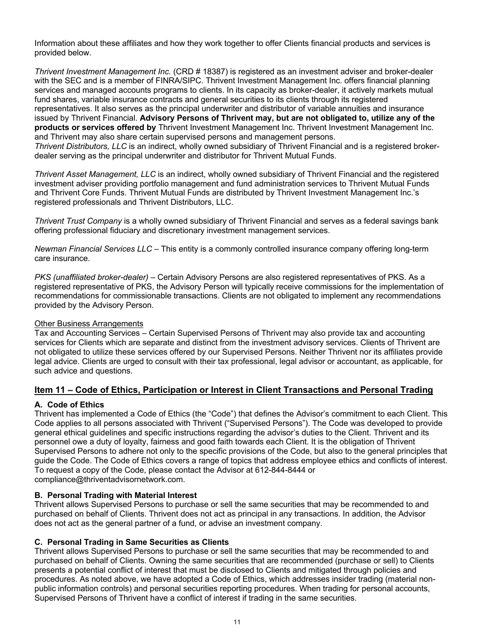Information about these affiliates and how they work together to offer Clients financial products and services is provided below.

*Thrivent Investment Management Inc.* (CRD # 18387) is registered as an investment adviser and broker-dealer with the SEC and is a member of FINRA/SIPC. Thrivent Investment Management Inc. offers financial planning services and managed accounts programs to clients. In its capacity as broker-dealer, it actively markets mutual fund shares, variable insurance contracts and general securities to its clients through its registered representatives. It also serves as the principal underwriter and distributor of variable annuities and insurance issued by Thrivent Financial. **Advisory Persons of Thrivent may, but are not obligated to, utilize any of the products or services offered by** Thrivent Investment Management Inc. Thrivent Investment Management Inc. and Thrivent may also share certain supervised persons and management persons.

*Thrivent Distributors, LLC* is an indirect, wholly owned subsidiary of Thrivent Financial and is a registered brokerdealer serving as the principal underwriter and distributor for Thrivent Mutual Funds.

*Thrivent Asset Management, LLC* is an indirect, wholly owned subsidiary of Thrivent Financial and the registered investment adviser providing portfolio management and fund administration services to Thrivent Mutual Funds and Thrivent Core Funds. Thrivent Mutual Funds are distributed by Thrivent Investment Management Inc.'s registered professionals and Thrivent Distributors, LLC.

*Thrivent Trust Company* is a wholly owned subsidiary of Thrivent Financial and serves as a federal savings bank offering professional fiduciary and discretionary investment management services.

*Newman Financial Services LLC* – This entity is a commonly controlled insurance company offering long-term care insurance.

*PKS (unaffiliated broker-dealer)* – Certain Advisory Persons are also registered representatives of PKS. As a registered representative of PKS, the Advisory Person will typically receive commissions for the implementation of recommendations for commissionable transactions. Clients are not obligated to implement any recommendations provided by the Advisory Person.

#### Other Business Arrangements

Tax and Accounting Services – Certain Supervised Persons of Thrivent may also provide tax and accounting services for Clients which are separate and distinct from the investment advisory services. Clients of Thrivent are not obligated to utilize these services offered by our Supervised Persons. Neither Thrivent nor its affiliates provide legal advice. Clients are urged to consult with their tax professional, legal advisor or accountant, as applicable, for such advice and questions.

# **Item 11 – Code of Ethics, Participation or Interest in Client Transactions and Personal Trading**

# **A. Code of Ethics**

Thrivent has implemented a Code of Ethics (the "Code") that defines the Advisor's commitment to each Client. This Code applies to all persons associated with Thrivent ("Supervised Persons"). The Code was developed to provide general ethical guidelines and specific instructions regarding the advisor's duties to the Client. Thrivent and its personnel owe a duty of loyalty, fairness and good faith towards each Client. It is the obligation of Thrivent Supervised Persons to adhere not only to the specific provisions of the Code, but also to the general principles that guide the Code. The Code of Ethics covers a range of topics that address employee ethics and conflicts of interest. To request a copy of the Code, please contact the Advisor at 612-844-8444 or compliance@thriventadvisornetwork.com.

#### **B. Personal Trading with Material Interest**

Thrivent allows Supervised Persons to purchase or sell the same securities that may be recommended to and purchased on behalf of Clients. Thrivent does not act as principal in any transactions. In addition, the Advisor does not act as the general partner of a fund, or advise an investment company.

#### **C. Personal Trading in Same Securities as Clients**

Thrivent allows Supervised Persons to purchase or sell the same securities that may be recommended to and purchased on behalf of Clients. Owning the same securities that are recommended (purchase or sell) to Clients presents a potential conflict of interest that must be disclosed to Clients and mitigated through policies and procedures. As noted above, we have adopted a Code of Ethics, which addresses insider trading (material nonpublic information controls) and personal securities reporting procedures. When trading for personal accounts, Supervised Persons of Thrivent have a conflict of interest if trading in the same securities.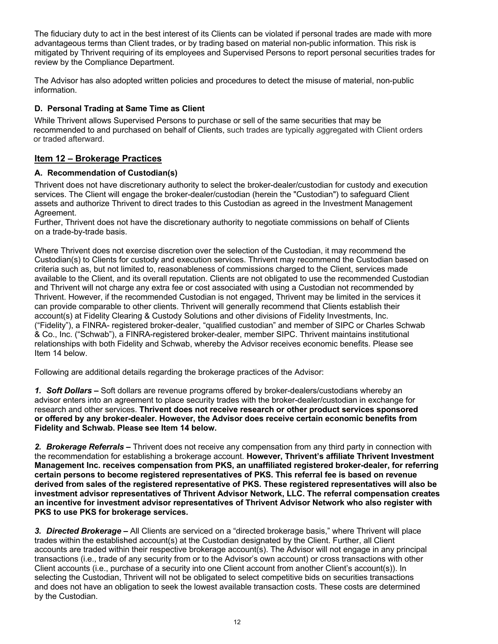The fiduciary duty to act in the best interest of its Clients can be violated if personal trades are made with more advantageous terms than Client trades, or by trading based on material non-public information. This risk is mitigated by Thrivent requiring of its employees and Supervised Persons to report personal securities trades for review by the Compliance Department.

The Advisor has also adopted written policies and procedures to detect the misuse of material, non-public information.

# **D. Personal Trading at Same Time as Client**

While Thrivent allows Supervised Persons to purchase or sell of the same securities that may be recommended to and purchased on behalf of Clients, such trades are typically aggregated with Client orders or traded afterward.

# **Item 12 – Brokerage Practices**

# **A. Recommendation of Custodian(s)**

Thrivent does not have discretionary authority to select the broker-dealer/custodian for custody and execution services. The Client will engage the broker-dealer/custodian (herein the "Custodian") to safeguard Client assets and authorize Thrivent to direct trades to this Custodian as agreed in the Investment Management Agreement.

Further, Thrivent does not have the discretionary authority to negotiate commissions on behalf of Clients on a trade-by-trade basis.

Where Thrivent does not exercise discretion over the selection of the Custodian, it may recommend the Custodian(s) to Clients for custody and execution services. Thrivent may recommend the Custodian based on criteria such as, but not limited to, reasonableness of commissions charged to the Client, services made available to the Client, and its overall reputation. Clients are not obligated to use the recommended Custodian and Thrivent will not charge any extra fee or cost associated with using a Custodian not recommended by Thrivent. However, if the recommended Custodian is not engaged, Thrivent may be limited in the services it can provide comparable to other clients. Thrivent will generally recommend that Clients establish their account(s) at Fidelity Clearing & Custody Solutions and other divisions of Fidelity Investments, Inc. ("Fidelity"), a FINRA- registered broker-dealer, "qualified custodian" and member of SIPC or Charles Schwab & Co., Inc. ("Schwab"), a FINRA-registered broker-dealer, member SIPC. Thrivent maintains institutional relationships with both Fidelity and Schwab, whereby the Advisor receives economic benefits. Please see Item 14 below.

Following are additional details regarding the brokerage practices of the Advisor:

*1. Soft Dollars –* Soft dollars are revenue programs offered by broker-dealers/custodians whereby an advisor enters into an agreement to place security trades with the broker-dealer/custodian in exchange for research and other services. **Thrivent does not receive research or other product services sponsored or offered by any broker-dealer. However, the Advisor does receive certain economic benefits from Fidelity and Schwab. Please see Item 14 below.**

*2. Brokerage Referrals –* Thrivent does not receive any compensation from any third party in connection with the recommendation for establishing a brokerage account. **However, Thrivent's affiliate Thrivent Investment Management Inc. receives compensation from PKS, an unaffiliated registered broker-dealer, for referring certain persons to become registered representatives of PKS. This referral fee is based on revenue derived from sales of the registered representative of PKS. These registered representatives will also be investment advisor representatives of Thrivent Advisor Network, LLC. The referral compensation creates an incentive for investment advisor representatives of Thrivent Advisor Network who also register with PKS to use PKS for brokerage services.**

*3. Directed Brokerage –* All Clients are serviced on a "directed brokerage basis," where Thrivent will place trades within the established account(s) at the Custodian designated by the Client. Further, all Client accounts are traded within their respective brokerage account(s). The Advisor will not engage in any principal transactions (i.e., trade of any security from or to the Advisor's own account) or cross transactions with other Client accounts (i.e., purchase of a security into one Client account from another Client's account(s)). In selecting the Custodian, Thrivent will not be obligated to select competitive bids on securities transactions and does not have an obligation to seek the lowest available transaction costs. These costs are determined by the Custodian.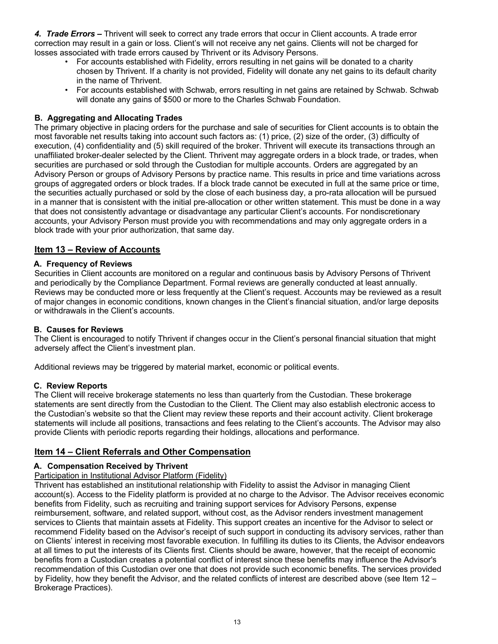*4. Trade Errors –* Thrivent will seek to correct any trade errors that occur in Client accounts. A trade error correction may result in a gain or loss. Client's will not receive any net gains. Clients will not be charged for losses associated with trade errors caused by Thrivent or its Advisory Persons.

- For accounts established with Fidelity, errors resulting in net gains will be donated to a charity chosen by Thrivent. If a charity is not provided, Fidelity will donate any net gains to its default charity in the name of Thrivent.
- For accounts established with Schwab, errors resulting in net gains are retained by Schwab. Schwab will donate any gains of \$500 or more to the Charles Schwab Foundation.

# **B. Aggregating and Allocating Trades**

The primary objective in placing orders for the purchase and sale of securities for Client accounts is to obtain the most favorable net results taking into account such factors as: (1) price, (2) size of the order, (3) difficulty of execution, (4) confidentiality and (5) skill required of the broker. Thrivent will execute its transactions through an unaffiliated broker-dealer selected by the Client. Thrivent may aggregate orders in a block trade, or trades, when securities are purchased or sold through the Custodian for multiple accounts. Orders are aggregated by an Advisory Person or groups of Advisory Persons by practice name. This results in price and time variations across groups of aggregated orders or block trades. If a block trade cannot be executed in full at the same price or time, the securities actually purchased or sold by the close of each business day, a pro-rata allocation will be pursued in a manner that is consistent with the initial pre-allocation or other written statement. This must be done in a way that does not consistently advantage or disadvantage any particular Client's accounts. For nondiscretionary accounts, your Advisory Person must provide you with recommendations and may only aggregate orders in a block trade with your prior authorization, that same day.

# **Item 13 – Review of Accounts**

# **A. Frequency of Reviews**

Securities in Client accounts are monitored on a regular and continuous basis by Advisory Persons of Thrivent and periodically by the Compliance Department. Formal reviews are generally conducted at least annually. Reviews may be conducted more or less frequently at the Client's request. Accounts may be reviewed as a result of major changes in economic conditions, known changes in the Client's financial situation, and/or large deposits or withdrawals in the Client's accounts.

# **B. Causes for Reviews**

The Client is encouraged to notify Thrivent if changes occur in the Client's personal financial situation that might adversely affect the Client's investment plan.

Additional reviews may be triggered by material market, economic or political events.

#### **C. Review Reports**

The Client will receive brokerage statements no less than quarterly from the Custodian. These brokerage statements are sent directly from the Custodian to the Client. The Client may also establish electronic access to the Custodian's website so that the Client may review these reports and their account activity. Client brokerage statements will include all positions, transactions and fees relating to the Client's accounts. The Advisor may also provide Clients with periodic reports regarding their holdings, allocations and performance.

# **Item 14 – Client Referrals and Other Compensation**

# **A. Compensation Received by Thrivent**

# Participation in Institutional Advisor Platform (Fidelity)

Thrivent has established an institutional relationship with Fidelity to assist the Advisor in managing Client account(s). Access to the Fidelity platform is provided at no charge to the Advisor. The Advisor receives economic benefits from Fidelity, such as recruiting and training support services for Advisory Persons, expense reimbursement, software, and related support, without cost, as the Advisor renders investment management services to Clients that maintain assets at Fidelity. This support creates an incentive for the Advisor to select or recommend Fidelity based on the Advisor's receipt of such support in conducting its advisory services, rather than on Clients' interest in receiving most favorable execution. In fulfilling its duties to its Clients, the Advisor endeavors at all times to put the interests of its Clients first. Clients should be aware, however, that the receipt of economic benefits from a Custodian creates a potential conflict of interest since these benefits may influence the Advisor's recommendation of this Custodian over one that does not provide such economic benefits. The services provided by Fidelity, how they benefit the Advisor, and the related conflicts of interest are described above (see Item 12 – Brokerage Practices).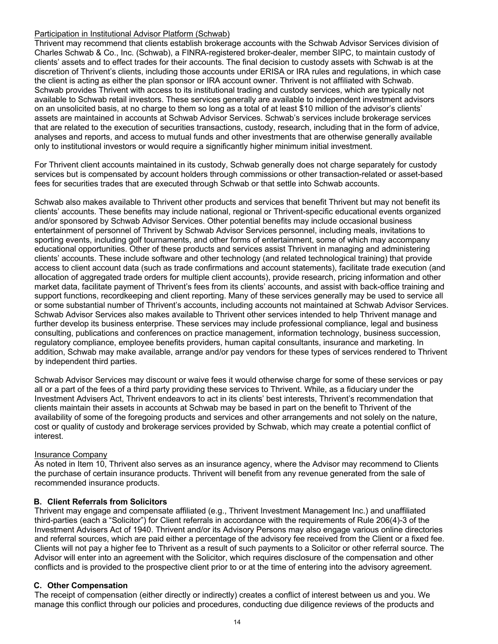#### Participation in Institutional Advisor Platform (Schwab)

Thrivent may recommend that clients establish brokerage accounts with the Schwab Advisor Services division of Charles Schwab & Co., Inc. (Schwab), a FINRA-registered broker-dealer, member SIPC, to maintain custody of clients' assets and to effect trades for their accounts. The final decision to custody assets with Schwab is at the discretion of Thrivent's clients, including those accounts under ERISA or IRA rules and regulations, in which case the client is acting as either the plan sponsor or IRA account owner. Thrivent is not affiliated with Schwab. Schwab provides Thrivent with access to its institutional trading and custody services, which are typically not available to Schwab retail investors. These services generally are available to independent investment advisors on an unsolicited basis, at no charge to them so long as a total of at least \$10 million of the advisor's clients' assets are maintained in accounts at Schwab Advisor Services. Schwab's services include brokerage services that are related to the execution of securities transactions, custody, research, including that in the form of advice, analyses and reports, and access to mutual funds and other investments that are otherwise generally available only to institutional investors or would require a significantly higher minimum initial investment.

For Thrivent client accounts maintained in its custody, Schwab generally does not charge separately for custody services but is compensated by account holders through commissions or other transaction-related or asset-based fees for securities trades that are executed through Schwab or that settle into Schwab accounts.

Schwab also makes available to Thrivent other products and services that benefit Thrivent but may not benefit its clients' accounts. These benefits may include national, regional or Thrivent-specific educational events organized and/or sponsored by Schwab Advisor Services. Other potential benefits may include occasional business entertainment of personnel of Thrivent by Schwab Advisor Services personnel, including meals, invitations to sporting events, including golf tournaments, and other forms of entertainment, some of which may accompany educational opportunities. Other of these products and services assist Thrivent in managing and administering clients' accounts. These include software and other technology (and related technological training) that provide access to client account data (such as trade confirmations and account statements), facilitate trade execution (and allocation of aggregated trade orders for multiple client accounts), provide research, pricing information and other market data, facilitate payment of Thrivent's fees from its clients' accounts, and assist with back-office training and support functions, recordkeeping and client reporting. Many of these services generally may be used to service all or some substantial number of Thrivent's accounts, including accounts not maintained at Schwab Advisor Services. Schwab Advisor Services also makes available to Thrivent other services intended to help Thrivent manage and further develop its business enterprise. These services may include professional compliance, legal and business consulting, publications and conferences on practice management, information technology, business succession, regulatory compliance, employee benefits providers, human capital consultants, insurance and marketing. In addition, Schwab may make available, arrange and/or pay vendors for these types of services rendered to Thrivent by independent third parties.

Schwab Advisor Services may discount or waive fees it would otherwise charge for some of these services or pay all or a part of the fees of a third party providing these services to Thrivent. While, as a fiduciary under the Investment Advisers Act, Thrivent endeavors to act in its clients' best interests, Thrivent's recommendation that clients maintain their assets in accounts at Schwab may be based in part on the benefit to Thrivent of the availability of some of the foregoing products and services and other arrangements and not solely on the nature, cost or quality of custody and brokerage services provided by Schwab, which may create a potential conflict of interest.

# Insurance Company

As noted in Item 10, Thrivent also serves as an insurance agency, where the Advisor may recommend to Clients the purchase of certain insurance products. Thrivent will benefit from any revenue generated from the sale of recommended insurance products.

# **B. Client Referrals from Solicitors**

Thrivent may engage and compensate affiliated (e.g., Thrivent Investment Management Inc.) and unaffiliated third-parties (each a "Solicitor") for Client referrals in accordance with the requirements of Rule 206(4)-3 of the Investment Advisers Act of 1940. Thrivent and/or its Advisory Persons may also engage various online directories and referral sources, which are paid either a percentage of the advisory fee received from the Client or a fixed fee. Clients will not pay a higher fee to Thrivent as a result of such payments to a Solicitor or other referral source. The Advisor will enter into an agreement with the Solicitor, which requires disclosure of the compensation and other conflicts and is provided to the prospective client prior to or at the time of entering into the advisory agreement.

# **C. Other Compensation**

The receipt of compensation (either directly or indirectly) creates a conflict of interest between us and you. We manage this conflict through our policies and procedures, conducting due diligence reviews of the products and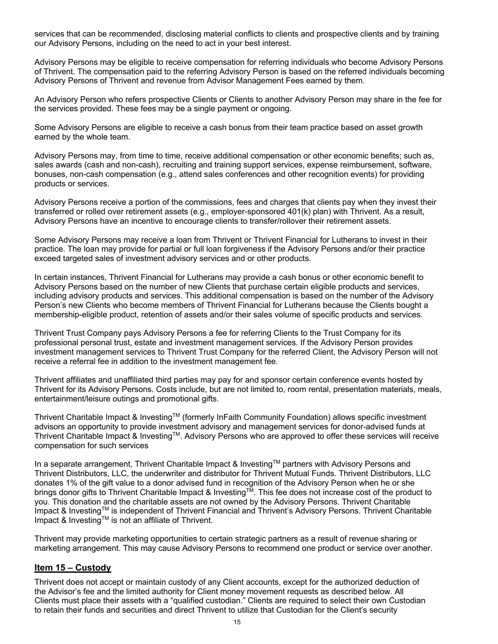services that can be recommended, disclosing material conflicts to clients and prospective clients and by training our Advisory Persons, including on the need to act in your best interest.

Advisory Persons may be eligible to receive compensation for referring individuals who become Advisory Persons of Thrivent. The compensation paid to the referring Advisory Person is based on the referred individuals becoming Advisory Persons of Thrivent and revenue from Advisor Management Fees earned by them.

An Advisory Person who refers prospective Clients or Clients to another Advisory Person may share in the fee for the services provided. These fees may be a single payment or ongoing.

Some Advisory Persons are eligible to receive a cash bonus from their team practice based on asset growth earned by the whole team.

Advisory Persons may, from time to time, receive additional compensation or other economic benefits; such as, sales awards (cash and non-cash), recruiting and training support services, expense reimbursement, software, bonuses, non-cash compensation (e.g., attend sales conferences and other recognition events) for providing products or services.

Advisory Persons receive a portion of the commissions, fees and charges that clients pay when they invest their transferred or rolled over retirement assets (e.g., employer-sponsored 401(k) plan) with Thrivent. As a result, Advisory Persons have an incentive to encourage clients to transfer/rollover their retirement assets.

Some Advisory Persons may receive a loan from Thrivent or Thrivent Financial for Lutherans to invest in their practice. The loan may provide for partial or full loan forgiveness if the Advisory Persons and/or their practice exceed targeted sales of investment advisory services and or other products.

In certain instances, Thrivent Financial for Lutherans may provide a cash bonus or other economic benefit to Advisory Persons based on the number of new Clients that purchase certain eligible products and services, including advisory products and services. This additional compensation is based on the number of the Advisory Person's new Clients who become members of Thrivent Financial for Lutherans because the Clients bought a membership-eligible product, retention of assets and/or their sales volume of specific products and services.

Thrivent Trust Company pays Advisory Persons a fee for referring Clients to the Trust Company for its professional personal trust, estate and investment management services. If the Advisory Person provides investment management services to Thrivent Trust Company for the referred Client, the Advisory Person will not receive a referral fee in addition to the investment management fee.

Thrivent affiliates and unaffiliated third parties may pay for and sponsor certain conference events hosted by Thrivent for its Advisory Persons. Costs include, but are not limited to, room rental, presentation materials, meals, entertainment/leisure outings and promotional gifts.

Thrivent Charitable Impact & InvestingTM (formerly InFaith Community Foundation) allows specific investment advisors an opportunity to provide investment advisory and management services for donor-advised funds at Thrivent Charitable Impact & InvestingTM. Advisory Persons who are approved to offer these services will receive compensation for such services

In a separate arrangement, Thrivent Charitable Impact & Investing™ partners with Advisory Persons and Thrivent Distributors, LLC, the underwriter and distributor for Thrivent Mutual Funds. Thrivent Distributors, LLC donates 1% of the gift value to a donor advised fund in recognition of the Advisory Person when he or she brings donor gifts to Thrivent Charitable Impact & Investing<sup>TM</sup>. This fee does not increase cost of the product to you. This donation and the charitable assets are not owned by the Advisory Persons. Thrivent Charitable Impact & Investing™ is independent of Thrivent Financial and Thrivent's Advisory Persons. Thrivent Charitable Impact & Investing™ is not an affiliate of Thrivent.

Thrivent may provide marketing opportunities to certain strategic partners as a result of revenue sharing or marketing arrangement. This may cause Advisory Persons to recommend one product or service over another.

# **Item 15 – Custody**

Thrivent does not accept or maintain custody of any Client accounts, except for the authorized deduction of the Advisor's fee and the limited authority for Client money movement requests as described below. All Clients must place their assets with a "qualified custodian." Clients are required to select their own Custodian to retain their funds and securities and direct Thrivent to utilize that Custodian for the Client's security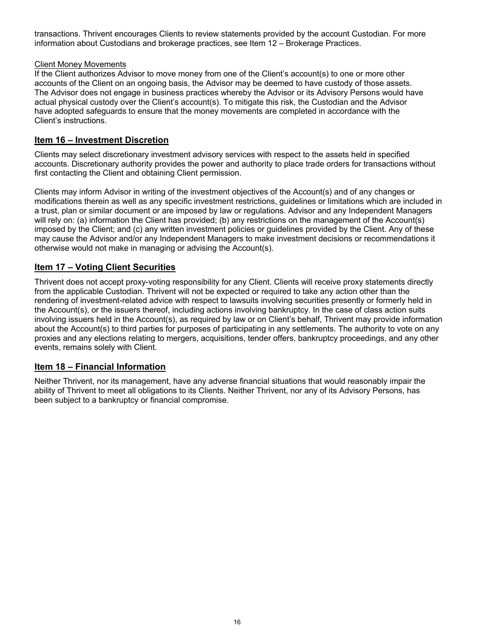transactions. Thrivent encourages Clients to review statements provided by the account Custodian. For more information about Custodians and brokerage practices, see Item 12 – Brokerage Practices.

# Client Money Movements

If the Client authorizes Advisor to move money from one of the Client's account(s) to one or more other accounts of the Client on an ongoing basis, the Advisor may be deemed to have custody of those assets. The Advisor does not engage in business practices whereby the Advisor or its Advisory Persons would have actual physical custody over the Client's account(s). To mitigate this risk, the Custodian and the Advisor have adopted safeguards to ensure that the money movements are completed in accordance with the Client's instructions.

# **Item 16 – Investment Discretion**

Clients may select discretionary investment advisory services with respect to the assets held in specified accounts. Discretionary authority provides the power and authority to place trade orders for transactions without first contacting the Client and obtaining Client permission.

Clients may inform Advisor in writing of the investment objectives of the Account(s) and of any changes or modifications therein as well as any specific investment restrictions, guidelines or limitations which are included in a trust, plan or similar document or are imposed by law or regulations. Advisor and any Independent Managers will rely on: (a) information the Client has provided; (b) any restrictions on the management of the Account(s) imposed by the Client; and (c) any written investment policies or guidelines provided by the Client. Any of these may cause the Advisor and/or any Independent Managers to make investment decisions or recommendations it otherwise would not make in managing or advising the Account(s).

# **Item 17 – Voting Client Securities**

Thrivent does not accept proxy-voting responsibility for any Client. Clients will receive proxy statements directly from the applicable Custodian. Thrivent will not be expected or required to take any action other than the rendering of investment-related advice with respect to lawsuits involving securities presently or formerly held in the Account(s), or the issuers thereof, including actions involving bankruptcy. In the case of class action suits involving issuers held in the Account(s), as required by law or on Client's behalf, Thrivent may provide information about the Account(s) to third parties for purposes of participating in any settlements. The authority to vote on any proxies and any elections relating to mergers, acquisitions, tender offers, bankruptcy proceedings, and any other events, remains solely with Client.

# **Item 18 – Financial Information**

Neither Thrivent, nor its management, have any adverse financial situations that would reasonably impair the ability of Thrivent to meet all obligations to its Clients. Neither Thrivent, nor any of its Advisory Persons, has been subject to a bankruptcy or financial compromise.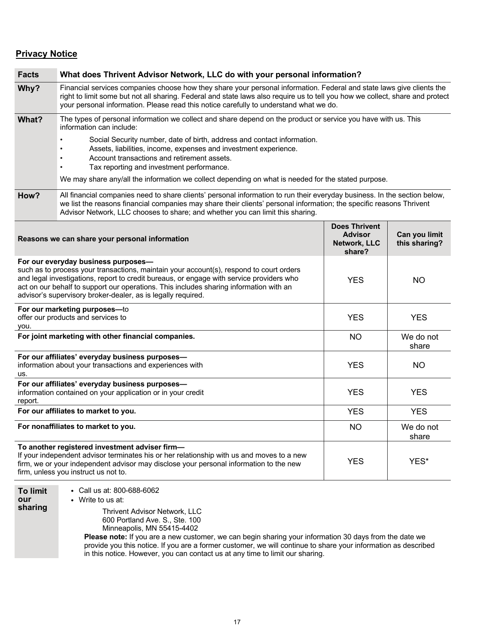# **Privacy Notice**

| <b>Facts</b>                                                                                                                                                                                                                                                                                                                                                                         | What does Thrivent Advisor Network, LLC do with your personal information?                                                                                                                                                                                                                                                                       |                                                                  |                                |  |
|--------------------------------------------------------------------------------------------------------------------------------------------------------------------------------------------------------------------------------------------------------------------------------------------------------------------------------------------------------------------------------------|--------------------------------------------------------------------------------------------------------------------------------------------------------------------------------------------------------------------------------------------------------------------------------------------------------------------------------------------------|------------------------------------------------------------------|--------------------------------|--|
| Why?                                                                                                                                                                                                                                                                                                                                                                                 | Financial services companies choose how they share your personal information. Federal and state laws give clients the<br>right to limit some but not all sharing. Federal and state laws also require us to tell you how we collect, share and protect<br>your personal information. Please read this notice carefully to understand what we do. |                                                                  |                                |  |
| What?                                                                                                                                                                                                                                                                                                                                                                                | The types of personal information we collect and share depend on the product or service you have with us. This<br>information can include:                                                                                                                                                                                                       |                                                                  |                                |  |
|                                                                                                                                                                                                                                                                                                                                                                                      | Social Security number, date of birth, address and contact information.<br>Assets, liabilities, income, expenses and investment experience.<br>Account transactions and retirement assets.<br>Tax reporting and investment performance.                                                                                                          |                                                                  |                                |  |
|                                                                                                                                                                                                                                                                                                                                                                                      | We may share any/all the information we collect depending on what is needed for the stated purpose.                                                                                                                                                                                                                                              |                                                                  |                                |  |
| How?                                                                                                                                                                                                                                                                                                                                                                                 | All financial companies need to share clients' personal information to run their everyday business. In the section below,<br>we list the reasons financial companies may share their clients' personal information; the specific reasons Thrivent<br>Advisor Network, LLC chooses to share; and whether you can limit this sharing.              |                                                                  |                                |  |
|                                                                                                                                                                                                                                                                                                                                                                                      | Reasons we can share your personal information                                                                                                                                                                                                                                                                                                   | <b>Does Thrivent</b><br><b>Advisor</b><br>Network, LLC<br>share? | Can you limit<br>this sharing? |  |
| For our everyday business purposes-<br>such as to process your transactions, maintain your account(s), respond to court orders<br>and legal investigations, report to credit bureaus, or engage with service providers who<br>act on our behalf to support our operations. This includes sharing information with an<br>advisor's supervisory broker-dealer, as is legally required. |                                                                                                                                                                                                                                                                                                                                                  | <b>YES</b>                                                       | <b>NO</b>                      |  |
| For our marketing purposes-to<br>offer our products and services to<br>you.                                                                                                                                                                                                                                                                                                          |                                                                                                                                                                                                                                                                                                                                                  | <b>YES</b>                                                       | <b>YES</b>                     |  |
| For joint marketing with other financial companies.                                                                                                                                                                                                                                                                                                                                  |                                                                                                                                                                                                                                                                                                                                                  | <b>NO</b>                                                        | We do not<br>share             |  |
| For our affiliates' everyday business purposes-<br>information about your transactions and experiences with<br>us.                                                                                                                                                                                                                                                                   |                                                                                                                                                                                                                                                                                                                                                  | <b>YES</b>                                                       | <b>NO</b>                      |  |
| For our affiliates' everyday business purposes-<br>information contained on your application or in your credit<br>report.                                                                                                                                                                                                                                                            |                                                                                                                                                                                                                                                                                                                                                  | <b>YES</b>                                                       | <b>YES</b>                     |  |
|                                                                                                                                                                                                                                                                                                                                                                                      | For our affiliates to market to you.                                                                                                                                                                                                                                                                                                             | <b>YES</b>                                                       | <b>YES</b>                     |  |
| For nonaffiliates to market to you.                                                                                                                                                                                                                                                                                                                                                  |                                                                                                                                                                                                                                                                                                                                                  | <b>NO</b>                                                        | We do not<br>share             |  |
| To another registered investment adviser firm-<br>If your independent advisor terminates his or her relationship with us and moves to a new<br>firm, we or your independent advisor may disclose your personal information to the new<br>firm, unless you instruct us not to.                                                                                                        |                                                                                                                                                                                                                                                                                                                                                  | <b>YES</b>                                                       | YES*                           |  |
| <b>To limit</b><br>our<br>sharing                                                                                                                                                                                                                                                                                                                                                    | • Call us at: 800-688-6062<br>• Write to us at:<br>Thrivant Advisor Natwork IIC                                                                                                                                                                                                                                                                  |                                                                  |                                |  |

Thrivent Advisor Network, LLC 600 Portland Ave. S., Ste. 100 Minneapolis, MN 55415-4402

**Please note:** If you are a new customer, we can begin sharing your information 30 days from the date we provide you this notice. If you are a former customer, we will continue to share your information as described in this notice. However, you can contact us at any time to limit our sharing.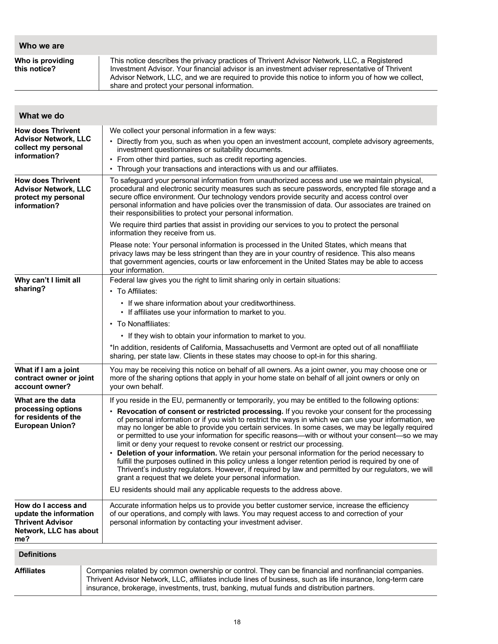| Who we are                       |                                                                                                                                                                                                                                                                                                                                                   |
|----------------------------------|---------------------------------------------------------------------------------------------------------------------------------------------------------------------------------------------------------------------------------------------------------------------------------------------------------------------------------------------------|
| Who is providing<br>this notice? | This notice describes the privacy practices of Thrivent Advisor Network, LLC, a Registered<br>Investment Advisor. Your financial advisor is an investment adviser representative of Thrivent<br>Advisor Network, LLC, and we are required to provide this notice to inform you of how we collect,<br>share and protect your personal information. |

| What we do                                                                                                |                                                                                                                                                                                                                                                                                                                                                                                                                                                                                             |  |  |
|-----------------------------------------------------------------------------------------------------------|---------------------------------------------------------------------------------------------------------------------------------------------------------------------------------------------------------------------------------------------------------------------------------------------------------------------------------------------------------------------------------------------------------------------------------------------------------------------------------------------|--|--|
| <b>How does Thrivent</b><br><b>Advisor Network, LLC</b><br>collect my personal<br>information?            | We collect your personal information in a few ways:<br>• Directly from you, such as when you open an investment account, complete advisory agreements,<br>investment questionnaires or suitability documents.<br>• From other third parties, such as credit reporting agencies.<br>• Through your transactions and interactions with us and our affiliates.                                                                                                                                 |  |  |
| <b>How does Thrivent</b><br><b>Advisor Network, LLC</b><br>protect my personal<br>information?            | To safeguard your personal information from unauthorized access and use we maintain physical,<br>procedural and electronic security measures such as secure passwords, encrypted file storage and a<br>secure office environment. Our technology vendors provide security and access control over<br>personal information and have policies over the transmission of data. Our associates are trained on<br>their responsibilities to protect your personal information.                    |  |  |
|                                                                                                           | We require third parties that assist in providing our services to you to protect the personal<br>information they receive from us.                                                                                                                                                                                                                                                                                                                                                          |  |  |
|                                                                                                           | Please note: Your personal information is processed in the United States, which means that<br>privacy laws may be less stringent than they are in your country of residence. This also means<br>that government agencies, courts or law enforcement in the United States may be able to access<br>your information.                                                                                                                                                                         |  |  |
| Why can't I limit all                                                                                     | Federal law gives you the right to limit sharing only in certain situations:                                                                                                                                                                                                                                                                                                                                                                                                                |  |  |
| sharing?                                                                                                  | • To Affiliates:                                                                                                                                                                                                                                                                                                                                                                                                                                                                            |  |  |
|                                                                                                           | • If we share information about your creditworthiness.<br>• If affiliates use your information to market to you.                                                                                                                                                                                                                                                                                                                                                                            |  |  |
|                                                                                                           | • To Nonaffiliates:                                                                                                                                                                                                                                                                                                                                                                                                                                                                         |  |  |
|                                                                                                           | • If they wish to obtain your information to market to you.                                                                                                                                                                                                                                                                                                                                                                                                                                 |  |  |
|                                                                                                           | *In addition, residents of California, Massachusetts and Vermont are opted out of all nonaffiliate<br>sharing, per state law. Clients in these states may choose to opt-in for this sharing.                                                                                                                                                                                                                                                                                                |  |  |
| What if I am a joint<br>contract owner or joint<br>account owner?                                         | You may be receiving this notice on behalf of all owners. As a joint owner, you may choose one or<br>more of the sharing options that apply in your home state on behalf of all joint owners or only on<br>your own behalf.                                                                                                                                                                                                                                                                 |  |  |
| What are the data                                                                                         | If you reside in the EU, permanently or temporarily, you may be entitled to the following options:                                                                                                                                                                                                                                                                                                                                                                                          |  |  |
| processing options<br>for residents of the<br><b>European Union?</b>                                      | • Revocation of consent or restricted processing. If you revoke your consent for the processing<br>of personal information or if you wish to restrict the ways in which we can use your information, we<br>may no longer be able to provide you certain services. In some cases, we may be legally required<br>or permitted to use your information for specific reasons—with or without your consent—so we may<br>limit or deny your request to revoke consent or restrict our processing. |  |  |
|                                                                                                           | • Deletion of your information. We retain your personal information for the period necessary to<br>fulfill the purposes outlined in this policy unless a longer retention period is required by one of<br>Thrivent's industry regulators. However, if required by law and permitted by our regulators, we will<br>grant a request that we delete your personal information.                                                                                                                 |  |  |
|                                                                                                           | EU residents should mail any applicable requests to the address above.                                                                                                                                                                                                                                                                                                                                                                                                                      |  |  |
| How do I access and<br>update the information<br><b>Thrivent Advisor</b><br>Network, LLC has about<br>me? | Accurate information helps us to provide you better customer service, increase the efficiency<br>of our operations, and comply with laws. You may request access to and correction of your<br>personal information by contacting your investment adviser.                                                                                                                                                                                                                                   |  |  |
| <b>Definitions</b>                                                                                        |                                                                                                                                                                                                                                                                                                                                                                                                                                                                                             |  |  |
| <b>Affiliates</b>                                                                                         | Companies related by common ownership or control. They can be financial and nonfinancial companies.<br>Thrivent Advisor Network, LLC, affiliates include lines of business, such as life insurance, long-term care<br>insurance, brokerage, investments, trust, banking, mutual funds and distribution partners.                                                                                                                                                                            |  |  |